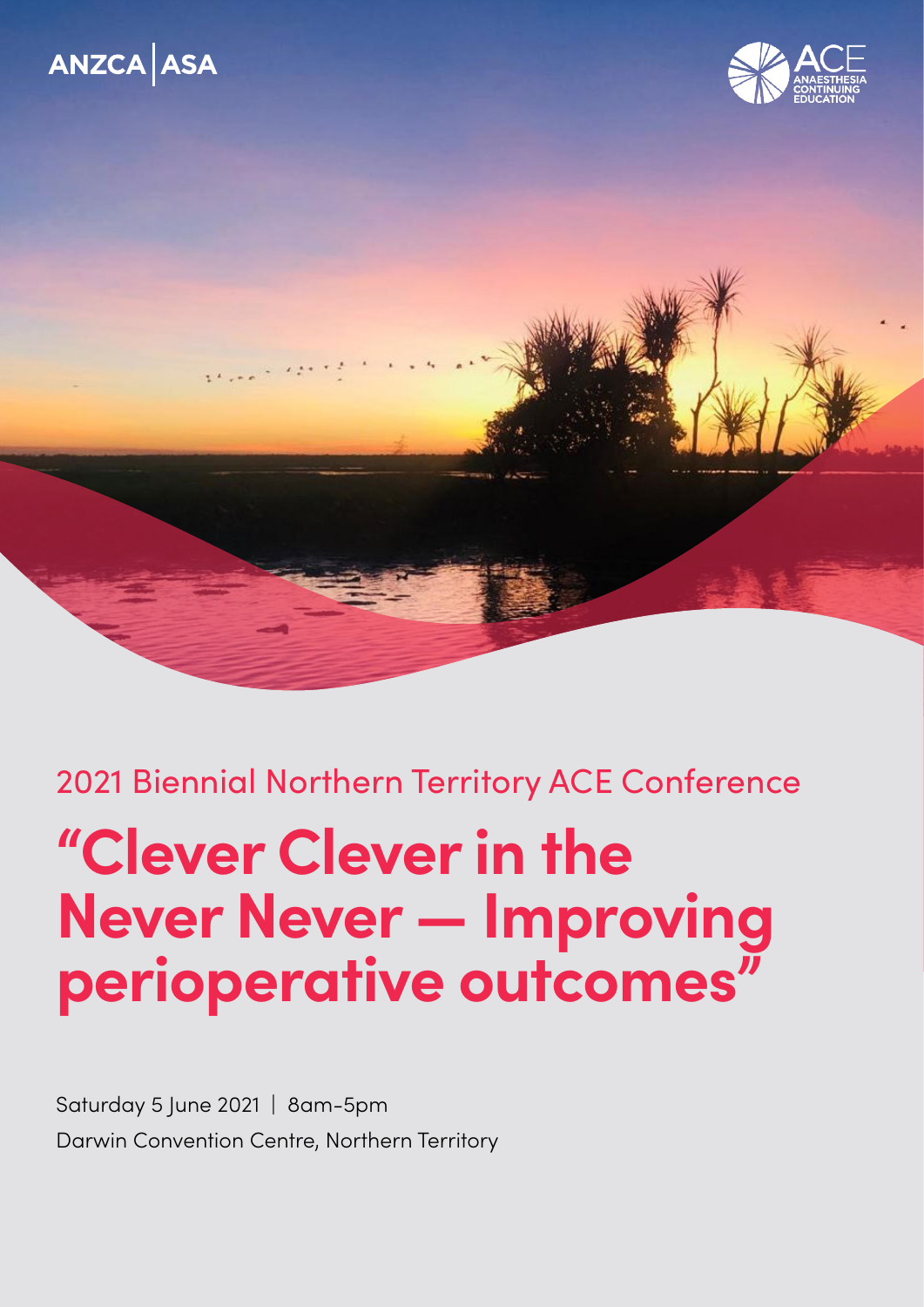# ANZCA ASA





2021 Biennial Northern Territory ACE Conference

# **"Clever Clever in the Never Never — Improving perioperative outcomes"**

Saturday 5 June 2021 | 8am-5pm Darwin Convention Centre, Northern Territory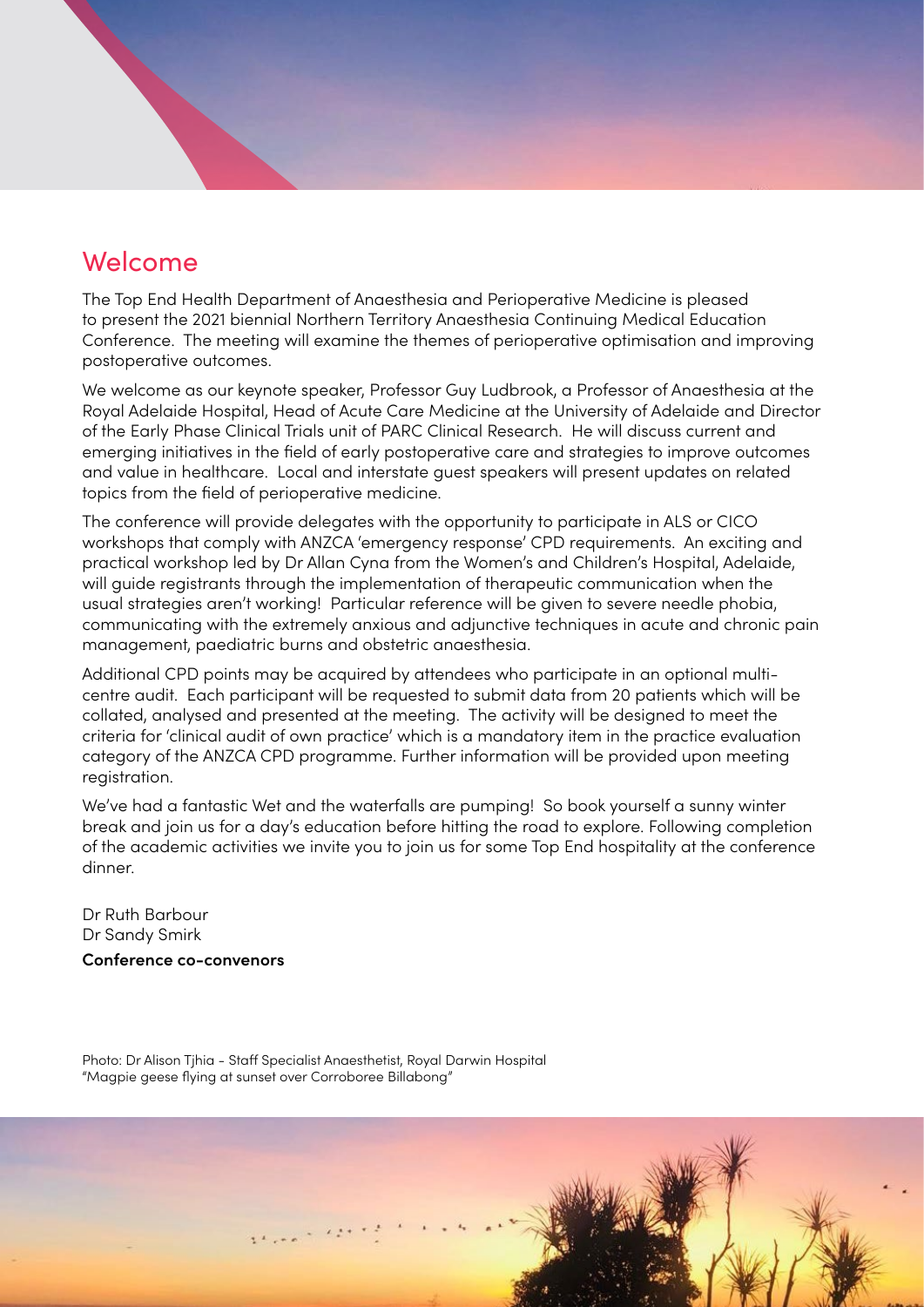# Welcome

The Top End Health Department of Anaesthesia and Perioperative Medicine is pleased to present the 2021 biennial Northern Territory Anaesthesia Continuing Medical Education Conference. The meeting will examine the themes of perioperative optimisation and improving postoperative outcomes.

We welcome as our keynote speaker, Professor Guy Ludbrook, a Professor of Anaesthesia at the Royal Adelaide Hospital, Head of Acute Care Medicine at the University of Adelaide and Director of the Early Phase Clinical Trials unit of PARC Clinical Research. He will discuss current and emerging initiatives in the field of early postoperative care and strategies to improve outcomes and value in healthcare. Local and interstate guest speakers will present updates on related topics from the field of perioperative medicine.

The conference will provide delegates with the opportunity to participate in ALS or CICO workshops that comply with ANZCA 'emergency response' CPD requirements. An exciting and practical workshop led by Dr Allan Cyna from the Women's and Children's Hospital, Adelaide, will guide registrants through the implementation of therapeutic communication when the usual strategies aren't working! Particular reference will be given to severe needle phobia, communicating with the extremely anxious and adjunctive techniques in acute and chronic pain management, paediatric burns and obstetric anaesthesia.

Additional CPD points may be acquired by attendees who participate in an optional multicentre audit. Each participant will be requested to submit data from 20 patients which will be collated, analysed and presented at the meeting. The activity will be designed to meet the criteria for 'clinical audit of own practice' which is a mandatory item in the practice evaluation category of the ANZCA CPD programme. Further information will be provided upon meeting registration.

We've had a fantastic Wet and the waterfalls are pumping! So book yourself a sunny winter break and join us for a day's education before hitting the road to explore. Following completion of the academic activities we invite you to join us for some Top End hospitality at the conference dinner.

Dr Ruth Barbour Dr Sandy Smirk

**Conference co-convenors**

Photo: Dr Alison Tjhia - Staff Specialist Anaesthetist, Royal Darwin Hospital "Magpie geese flying at sunset over Corroboree Billabong"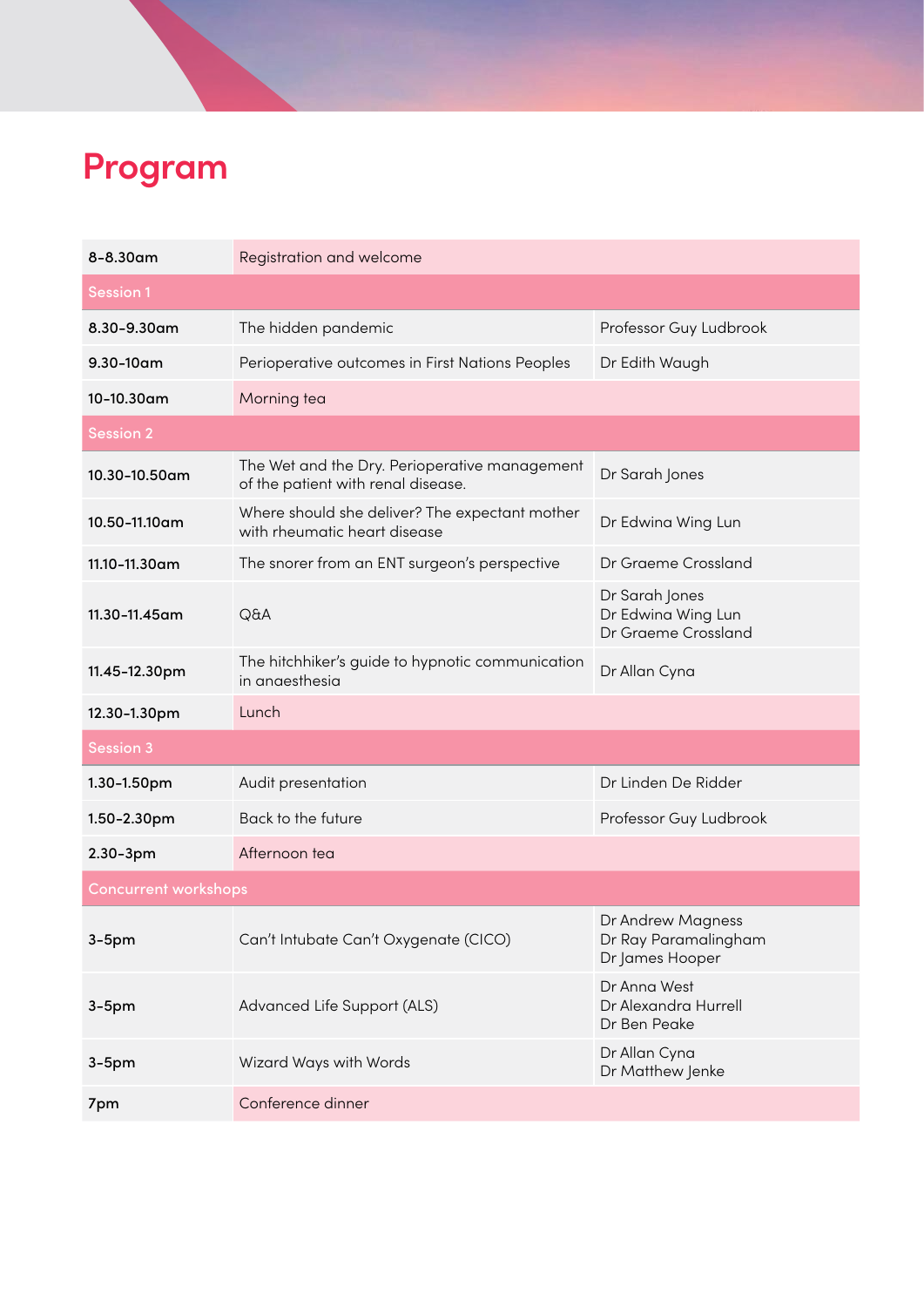# **Program**

| $8 - 8.30$ am               | Registration and welcome                                                            |                                                              |  |  |
|-----------------------------|-------------------------------------------------------------------------------------|--------------------------------------------------------------|--|--|
| <b>Session 1</b>            |                                                                                     |                                                              |  |  |
| 8.30-9.30am                 | The hidden pandemic                                                                 | Professor Guy Ludbrook                                       |  |  |
| $9.30 - 10$ am              | Perioperative outcomes in First Nations Peoples                                     | Dr Edith Waugh                                               |  |  |
| 10-10.30am                  | Morning tea                                                                         |                                                              |  |  |
| <b>Session 2</b>            |                                                                                     |                                                              |  |  |
| 10.30-10.50am               | The Wet and the Dry. Perioperative management<br>of the patient with renal disease. | Dr Sarah Jones                                               |  |  |
| 10.50-11.10am               | Where should she deliver? The expectant mother<br>with rheumatic heart disease      | Dr Edwina Wing Lun                                           |  |  |
| 11.10-11.30am               | The snorer from an ENT surgeon's perspective                                        | Dr Graeme Crossland                                          |  |  |
| 11.30-11.45am               | Q&A                                                                                 | Dr Sarah Jones<br>Dr Edwina Wing Lun<br>Dr Graeme Crossland  |  |  |
| 11.45-12.30pm               | The hitchhiker's guide to hypnotic communication<br>in anaesthesia                  | Dr Allan Cyna                                                |  |  |
| 12.30-1.30pm                | Lunch                                                                               |                                                              |  |  |
| <b>Session 3</b>            |                                                                                     |                                                              |  |  |
| 1.30-1.50pm                 | Audit presentation                                                                  | Dr Linden De Ridder                                          |  |  |
| 1.50-2.30pm                 | Back to the future                                                                  | Professor Guy Ludbrook                                       |  |  |
| $2.30 - 3pm$                | Afternoon tea                                                                       |                                                              |  |  |
| <b>Concurrent workshops</b> |                                                                                     |                                                              |  |  |
| $3-5$ pm                    | Can't Intubate Can't Oxygenate (CICO)                                               | Dr Andrew Magness<br>Dr Ray Paramalingham<br>Dr James Hooper |  |  |
| $3-5$ pm                    | Advanced Life Support (ALS)                                                         | Dr Anna West<br>Dr Alexandra Hurrell<br>Dr Ben Peake         |  |  |
| $3-5$ pm                    | Wizard Ways with Words                                                              | Dr Allan Cyna<br>Dr Matthew Jenke                            |  |  |
| 7pm                         | Conference dinner                                                                   |                                                              |  |  |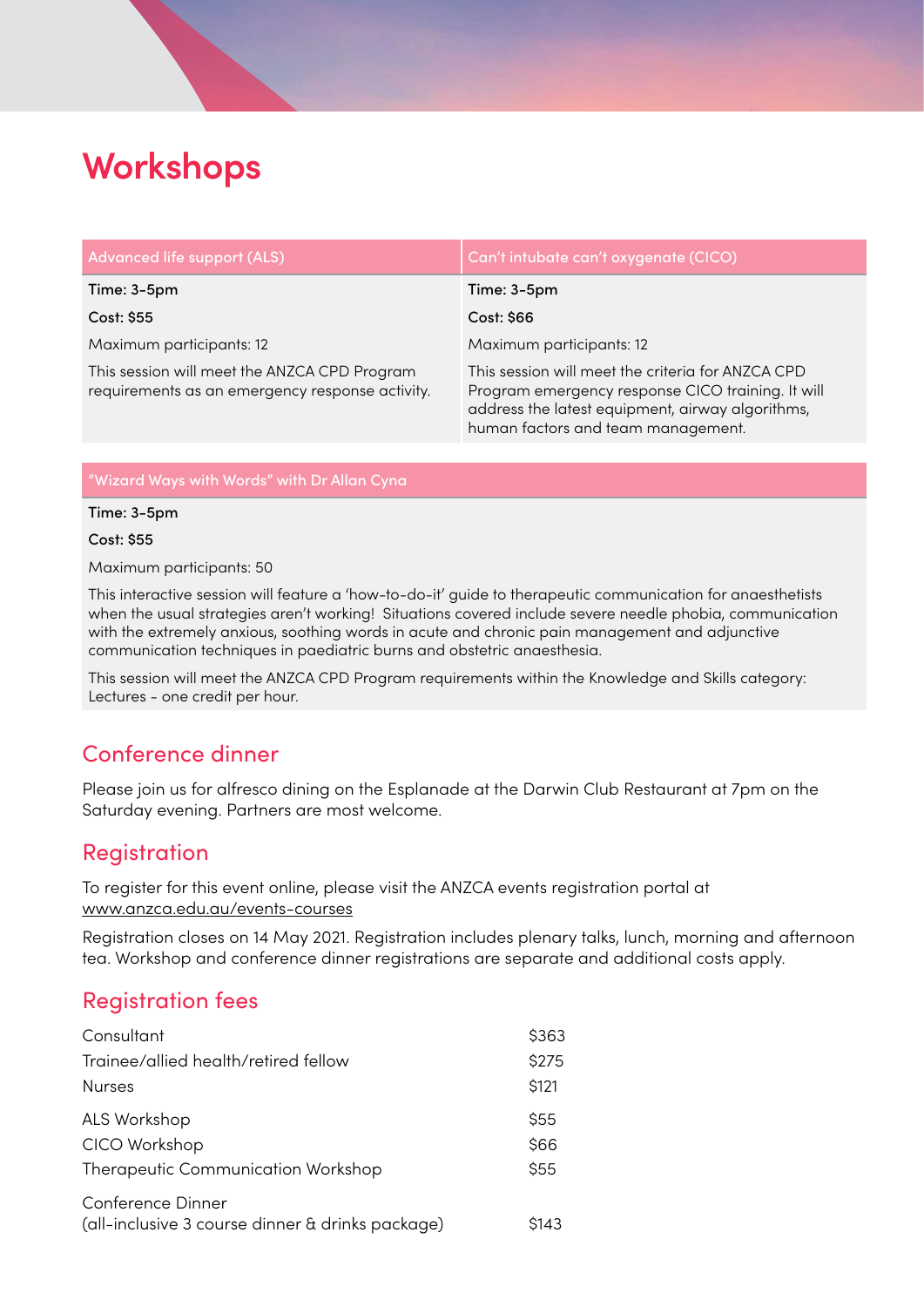# **Workshops**

| <b>Advanced life support (ALS)</b>                                                              | Can't intubate can't oxygenate (CICO)                                                                                                                                                            |
|-------------------------------------------------------------------------------------------------|--------------------------------------------------------------------------------------------------------------------------------------------------------------------------------------------------|
| Time: 3-5pm                                                                                     | Time: 3-5pm                                                                                                                                                                                      |
| Cost: \$55                                                                                      | Cost: \$66                                                                                                                                                                                       |
| Maximum participants: 12                                                                        | Maximum participants: 12                                                                                                                                                                         |
| This session will meet the ANZCA CPD Program<br>requirements as an emergency response activity. | This session will meet the criteria for ANZCA CPD<br>Program emergency response CICO training. It will<br>address the latest equipment, airway algorithms,<br>human factors and team management. |

"Wizard Ways with Words" with Dr Allan Cyna

#### Time: 3-5pm

Cost: \$55

Maximum participants: 50

This interactive session will feature a 'how-to-do-it' guide to therapeutic communication for anaesthetists when the usual strategies aren't working! Situations covered include severe needle phobia, communication with the extremely anxious, soothing words in acute and chronic pain management and adjunctive communication techniques in paediatric burns and obstetric anaesthesia.

This session will meet the ANZCA CPD Program requirements within the Knowledge and Skills category: Lectures - one credit per hour.

### Conference dinner

Please join us for alfresco dining on the Esplanade at the Darwin Club Restaurant at 7pm on the Saturday evening. Partners are most welcome.

#### **Registration**

To register for this event online, please visit the ANZCA events registration portal at [www.anzca.edu.au/events-courses](http://www.anzca.edu.au/events-courses)

Registration closes on 14 May 2021. Registration includes plenary talks, lunch, morning and afternoon tea. Workshop and conference dinner registrations are separate and additional costs apply.

### Registration fees

| Consultant                           | \$363 |
|--------------------------------------|-------|
| Trainee/allied health/retired fellow | \$275 |
| <b>Nurses</b>                        | \$121 |
| ALS Workshop                         | \$55  |
| CICO Workshop                        | \$66  |
| Therapeutic Communication Workshop   |       |
| Conference Dinner                    |       |

| Conference Dinner                                |       |
|--------------------------------------------------|-------|
| (all-inclusive 3 course dinner & drinks package) | \$143 |